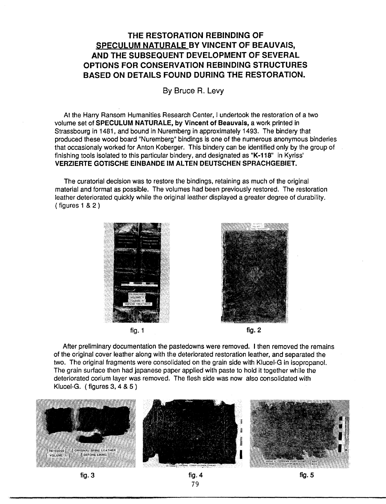## **THE RESTORATION REBINDING OF SPECULUM NATURALE BY VINCENT OF BEAUVAIS, AND THE SUBSEQUENT DEVELOPMENT OF SEVERAL OPTIONS FOR CONSERVATION REBINDING STRUCTURES BASED ON DETAILS FOUND DURING THE RESTORATION.**

By Bruce R. Levy

At the Harry Ransom Humanities Research Center, I undertook the restoration of a two volume set of **SPECULUM NATURALE, by Vincent of Beauvais,** a work printed in Strassbourg in 1481, and bound in Nuremberg in approximately 1493. The bindery that produced these wood board "Nuremberg" bindings is one of the numerous anonymous binderies that occasionaly worked for Anton Koberger. This bindery can be identified only by the group of finishing tools isolated to this particular bindery, and designated as **"K-118"** in Kyriss' **VERZIERTE GOTISCHE EINBANDE IM AL TEN DEUTSCHEN SPRACHGEBIET.** 

The curatorial decision was to restore the bindings, retaining as much of the original material and format as possible. The volumes had been previously restored. The restoration leather deteriorated quickly while the original leather displayed a greater degree of durability. ( figures 1 & 2 )







After preliminary documentation the pastedowns were removed. I then removed the remains of the original cover leather along with the deteriorated restoration leather, and separated the two. The original fragments were consolidated on the grain side with Klucel-G in isopropanol. The grain surface then had japanese paper applied with paste to hold it together while the deteriorated corium layer was removed. The flesh side was now also consolidated with Klucel-G. ( figures 3, 4 & 5 }

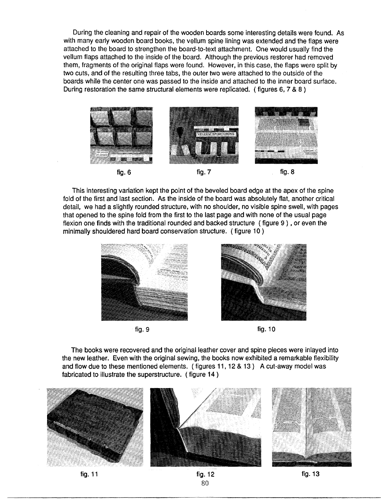During the cleaning and repair of the wooden boards some interesting details were found. As with many early wooden board books, the vellum spine lining was extended and the flaps were attached to the board to strengthen the board-to-text attachment. One would usually find the vellum flaps attached to the inside of the board. Although the previous restorer had removed them, fragments of the original flaps were found. However, in this case, the flaps were split by two cuts, and of the resulting three tabs, the outer two were attached to the outside of the boards while the center one was passed to the inside and attached to the inner board surface. During restoration the same structural elements were replicated. ( figures 6, 7 & 8 )



This interesting variation kept the point of the beveled board edge at the apex of the spine fold of the first and last section. As the inside of the board was absolutely flat, another critical detail, we had a slightly rounded structure, with no shoulder, no visible spine swell, with pages that opened to the spine fold from the first to the last page and with none of the usual page flexion one finds with the traditional rounded and backed structure ( figure 9 ) , or even the minimally shouldered hard board conservation structure. (figure 10)





fig. 9 fig. 10

The books were recovered and the original leather cover and spine pieces were inlayed into the new leather. Even with the original sewing, the books now exhibited a remarkable flexibility and flow due to these mentioned elements. ( figures 11, 12 & 13) A cut-away model was fabricated to illustrate the superstructure. ( figure 14 )



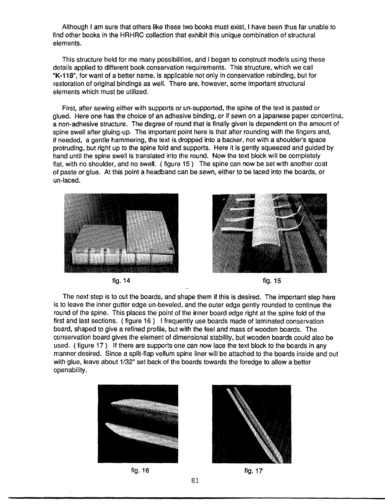Although I am sure that others like these two books must exist, I have been thus far unable to find other books in the HRHRC collection that exhibit this unique combination of structural elements.

This structure held for me many possibilities, and I began to construct models using these details applied to different book conservation requirements. This structure, which we call **"K-118",** for want of a better name, is applicable not only in conservation rebinding, but for restoration of original bindings as well. There are, however, some important structural elements which must be utilized.

First, after sewing either with supports or un-supported, the spine of the text is pasted or glued. Here one has the choice of an adhesive binding, or if sewn on a japanese paper concertina, a non-adhesive structure. The degree of round that is finally given is dependent on the amount of spine swell after gluing-up. The important point here is that after rounding with the fingers and, if needed, a gentle hammering, the text is dropped into a backer, not with a shoulder's space protruding, but right up to the spine fold and supports. Here it is gently squeezed and guided by hand until the spine swell is translated into the round. Now the text block will be completely flat, with no shoulder, and no swell. ( figure 15 ) The spine can now be set with another coat of paste or glue. At this point a headband can be sewn, either to be laced into the boards, or un-laced.





fig. **14** fig. 15

The next step is to cut the boards, and shape them if this is desired. The important step here is to leave the inner gutter edge un-beveled, and the outer edge gently rounded to continue the round of the spine. This places the point of the inner board edge right at the spine fold of the first and last sections. ( figure 16 ) I frequently use boards made of laminated conservation board, shaped to give a refined profile, but with the feel and mass of wooden boards. The conservation board gives the element of dimensional stability, but wooden boards could also be used. ( figure 17 ) If there are supports one can now lace the text block to the boards in any manner desired. Since a split-flap vellum spine liner will be attached to the boards inside and out with glue, leave about 1/32" set back of the boards towards the foredge to allow a better openability.





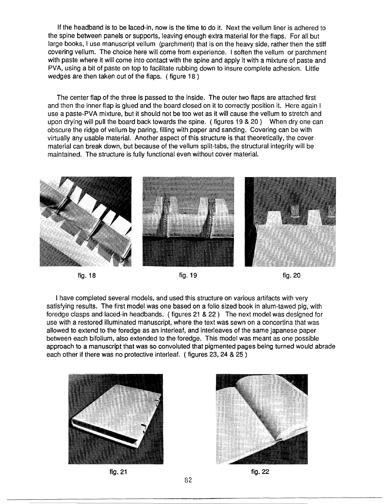If the headband is to be laced-in, now is the time to do it. Next the vellum liner is adhered to the spine between panels or supports, leaving enough extra material for the flaps. For all but large books, I use manuscript vellum (parchment) that is on the heavy side, rather then the stiff covering vellum. The choice here will come from experience. I soften the vellum or parchment with paste where it will come into contact with the spine and apply it with a mixture of paste and PVA, using a bit of paste on top to facilitate rubbing down to insure complete adhesion. Little wedges are then taken out of the flaps. ( figure 18 )

The center flap of the three is passed to the inside. The outer two flaps are attached first and then the inner flap is glued and the board closed on it to correctly position it. Here again I use a paste-PVA mixture, but it should not be too wet as it will cause the vellum to stretch and upon drying will pull the board back towards the spine. ( figures 19 & 20 ) When dry one can obscure the ridge of vellum by paring, filling with paper and sanding. Covering can be with virtually any usable material. Another aspect of this structure is that theoretically, the cover material can break down, but because of the vellum split-tabs, the structural integrity will be maintained. The structure is fully functional even without cover material.





I have completed several models, and used this structure on various artifacts with very satisfying results. The first model was one based on a folio sized book in alum-tawed pig, with foredge clasps and laced-in headbands. ( figures 21 & 22 ) The next model was designed for use with a restored illuminated manuscript, where the text was sewn on a concertina that was allowed to extend to the foredge as an interleaf, and interleaves of the same japanese paper between each bifolium, also extended to the foredge. This model was meant as one possible approach to a manuscript that was so convoluted that pigmented pages being turned would abrade each other if there was no protective interleaf. ( figures 23, 24 & 25 )







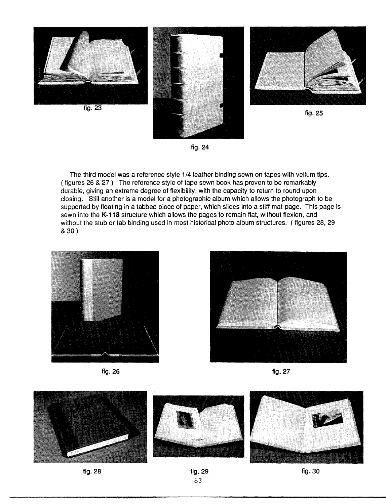

**fig. 24** 

The third model was a reference style 1/4 leather binding sewn on tapes with vellum tips. ( figures 26 & 27 ) The reference style of tape sewn book has proven to be remarkably durable, giving an extreme degree of flexibility, with the capacity to return to round upon closing. Still another is a model for a photographic album which allows the photograph to be supported by floating in a tabbed piece of paper, which slides into a stiff mat-page. This page is sewn into the **K-118** structure which allows the pages to remain flat, without flexion, and without the stub or tab binding used in most historical photo album structures. ( figures 28, 29 & 30)